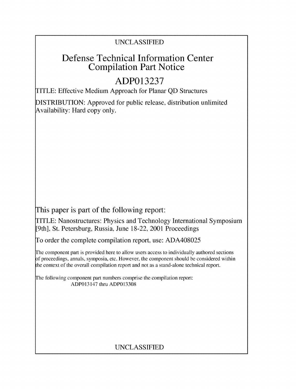## UNCLASSIFIED

# Defense Technical Information Center Compilation Part Notice

# **ADP013237**

TITLE: Effective Medium Approach for Planar QD Structures

DISTRIBUTION: Approved for public release, distribution unlimited Availability: Hard copy only.

This paper is part of the following report:

TITLE: Nanostructures: Physics and Technology International Symposium [9th], St. Petersburg, Russia, June 18-22, 2001 Proceedings

To order the complete compilation report, use: ADA408025

The component part is provided here to allow users access to individually authored sections f proceedings, annals, symposia, etc. However, the component should be considered within the context of the overall compilation report and not as a stand-alone technical report.

The following component part numbers comprise the compilation report: ADP013147 thru ADP013308

## UNCLASSIFIED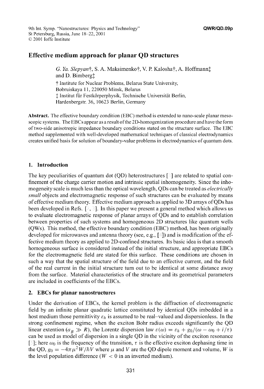### Effective medium approach for planar **QD** structures

*G. Ya. Slepyan*†, S. A. Maksimenko†, V. P. Kalosha†, A. Hoffmann‡ and D. Bimberg<sup>+</sup> t Institute for Nuclear Problems, Belarus State University, Bobruiskaya 11, 220050 Minsk, Belarus  $\ddagger$  Institut für Festkörperphysik, Technische Universität Berlin, Hardenbergstr. 36, 10623 Berlin, Germany

Abstract. The effective boundary condition (EBC) method is extended to nano-scale planar mesoscopic systems. The EBCs appear as a result of the 2D-homogenization procedure and have the form of two-side anisotropic impedance boundary conditions stated on the structure surface. The EBC method supplemented with well-developed mathematical techniques of classical electrodynamics creates unified basis for solution of boundary-value problems in electrodynamics of quantum dots.

#### 1. Introduction

The key peculiarities of quantum dot (QD) heterostructures  $[\ ]$  are related to spatial confinement of the charge carrier motion and intrinsic spatial inhomogeneity. Since the inhomogeneity scale is much less than the optical wavelength, QDs can be treated as *electrically small* objects and electromagnetic response of such structures can be evaluated by means of effective medium theory. Effective medium approach as applied to 3D arrays of QDs has been developed in Refs.  $[2, 3]$ . In this paper we present a general method which allows us to evaluate electromagnetic response of planar arrays of QDs and to establish correlation between properties of such systems and homogeneous 2D structures like quantum wells (QWs). This method, the effective boundary condition (EBC) method, has been originally developed for microwaves and antenna theory (see, e.g., [ **])** and is modification of the effective medium theory as applied to 2D-confined structures. Its basic idea is that a smooth homogeneous surface is considered instead of the initial structure, and appropriate EBCs for the electromagnetic field are stated for this surface. These conditions are chosen in such a way that the spatial structure of the field due to an effective current, and the field of the real current in the initial structure turn out to be identical at some distance away from the surface. Material characteristics of the structure and its geometrical parameters are included in coefficients of the EBCs.

#### 2. EBCs for planar nanostructures

Under the derivation of EBCs, the kernel problem is the diffraction of electromagnetic field by an infinite planar quadratic lattice constituted by identical QDs imbedded in a host medium those permittivity  $\varepsilon_h$  is assumed to be real-valued and dispersionless. In the strong confinement regime, when the exciton Bohr radius exceeds significantly the QD linear extention ( $a_B \gg R$ ), the Lorentz dispersion law  $\varepsilon(\omega) = \varepsilon_h + g_0/(\omega - \omega_0 + i/\tau)$ can be used as model of dispersion in a single QD in the vicinity of the exciton resonance [5]; here  $\omega_0$  is the frequency of the transition,  $\tau$  is the effective exciton dephasing time in the QD,  $g_0 = -4\pi \mu^2 W/\hbar V$  where  $\mu$  and V are the QD dipole moment and volume, W is the level population difference ( $W < 0$  in an inverted medium).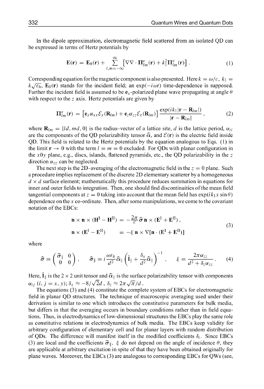In the dipole approximation, electromagnetic field scattered from an isolated QD can be expressed in terms of Hertz potentials by

$$
\mathbf{E}(\mathbf{r}) = \mathbf{E}_0(\mathbf{r}) + \sum_{l,m=-\infty}^{\infty} \left[ \nabla \nabla \cdot \mathbf{\Pi}_{lm}^e(\mathbf{r}) + k_1^2 \mathbf{\Pi}_{lm}^e(\mathbf{r}) \right]. \tag{1}
$$

Corresponding equation for the magnetic component is also presented. Here  $k = \omega/c$ ,  $k_1 =$  $k\sqrt{\varepsilon_h}$ , **E**<sub>0</sub>(**r**) stands for the incident field; an exp( $-i\omega t$ ) time-dependence is supposed. Further the incident field is assumed to be  $e_x$ -polarized plane wave propagating at angle  $\theta$ with respect to the  $z$  axis. Hertz potentials are given by

$$
\Pi_{lm}^e(\mathbf{r}) = \left[\mathbf{e}_x \alpha_{xx} \mathcal{E}_x(\mathbf{R}_{lm}) + \mathbf{e}_z \alpha_{zz} \mathcal{E}_x(\mathbf{R}_{lm})\right] \frac{\exp(ik_1|\mathbf{r} - \mathbf{R}_{lm}|)}{|\mathbf{r} - \mathbf{R}_{lm}|},\tag{2}
$$

where  $\mathbf{R}_{lm} = \{ld, md, 0\}$  is the radius-vector of a lattice site, d is the lattice period,  $\alpha_{li}$ are the components of the QD polarizability tensor  $\hat{\alpha}$ , and  $\mathcal{E}(\mathbf{r})$  is the electric field inside QD. This field is related to the Hertz potentials by the equation analogous to Eqs. (1) in the limit  $\mathbf{r} \to 0$  with the term  $l = m = 0$  excluded. For QDs with planar configuration in the  $x0y$  plane, e.g., discs, islands, flattened pyramids, etc., the QD polarizability in the z direction  $\alpha_{zz}$  can be neglected.

The next step is the 2D-averaging of the electromagnetic field in the  $z = 0$  plane. Such a procedure implies replacement of the discrete 2D elementary scatterer by a homogeneous  $d \times d$  surface element; mathematically this procedure reduces summation in equations for inner and outer fields to integration. Then, one should find discontinuities of the mean field tangential components at  $z = 0$  taking into account that the mean field has  $\exp(ik_1x \sin \theta)$ dependence on the x co-ordinate. Then, after some manipulations, we come to the covariant notation of the EBCs:

$$
\mathbf{n} \times \mathbf{n} \times (\mathbf{H}^{\mathrm{I}} - \mathbf{H}^{\mathrm{II}}) = -\frac{2\pi}{c} \hat{\boldsymbol{\sigma}} \mathbf{n} \times (\mathbf{E}^{\mathrm{I}} + \mathbf{E}^{\mathrm{II}}),
$$
  
\n
$$
\mathbf{n} \times (\mathbf{E}^{\mathrm{I}} - \mathbf{E}^{\mathrm{II}}) = -\xi \mathbf{n} \times \nabla[\mathbf{n} \cdot (\mathbf{E}^{\mathrm{I}} + \mathbf{E}^{\mathrm{II}})]
$$
\n(3)

where

$$
\widehat{\sigma} = \begin{pmatrix} \widehat{\sigma}_{\parallel} & 0 \\ 0 & 0 \end{pmatrix}, \qquad \widehat{\sigma}_{\parallel} = i \frac{\omega \varepsilon_h}{d^2} \widehat{\alpha}_{\parallel} \left( \widehat{\mathbf{I}}_{\parallel} + \frac{\delta_x}{d^2} \widehat{\alpha}_{\parallel} \right)^{-1}, \qquad \xi = \frac{2\pi \alpha_{zz}}{d^2 + \delta_z \alpha_{zz}}. \tag{4}
$$

Here,  $\hat{\bf l}_\parallel$  is the 2  $\times$  2 unit tensor and  $\widehat{\bf \alpha}_\parallel$  is the surface polarizability tensor with components  $\alpha_{ij}$  (*i*,  $j = x$ , *y*);  $\delta_x \approx -8/\sqrt{2d}$ ,  $\delta_z \approx 2\pi \sqrt{\pi}/d$ .

The equations (3) and (4) constitute the complete system of EBCs for electromagnetic field in planar QD structures. The technique of macroscopic averaging used under their derivation is similar to one which introduces the constitutive parameters for bulk media, but differs in that the averaging occurs in boundary conditions rather than in field equations. Thus, in electrodynamics of low-dimensional structures the EBCs play the same role as constitutive relations in electrodynamics of bulk media. The EBCs keep validity for arbitrary configuration of elementary cell and for planar layers with random distribution of QDs. The difference will manifest itself in the modified coefficients  $\delta_i$ . Since EBCs (3) are local and the coefficients  $\hat{\sigma}_{\parallel}$ ,  $\xi$  do not depend on the angle of incidence  $\theta$ , they are applicable at arbitrary excitation in spite of that they have been obtained originally for plane waves. Moreover, the EBCs (3) are analogous to corresponding EBCs for QWs (see,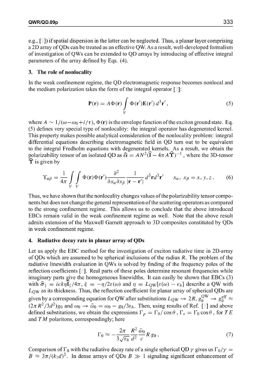e.g.,  $[\circ]$ ) if spatial dispersion in the latter can be neglected. Thus, a planar layer comprising a 2D array of QDs can be treated as an effective QW. As a result, well-developed formalism of investigation of QWs can be extended to QD arrays by introducing of effective integral parameters of the array defined by Eqs. (4).

#### **3.** The role of nonlocality

In the weak confinement regime, the QD electromagnetic response becomes nonlocal and the medium polarization takes the form of the integral operator  $[7]$ :

$$
\mathbf{P}(\mathbf{r}) = A\Phi(\mathbf{r}) \int_{V} \Phi(\mathbf{r}') \mathbf{E}(\mathbf{r}') d^{3} \mathbf{r}', \qquad (5)
$$

where  $A \sim 1/(\omega - \omega_0 + i/\tau)$ ,  $\Phi(\mathbf{r})$  is the envelope function of the exciton ground state. Eq. (5) defines very special type of nonlocality: the integral operator has degenerated kernel. This property makes possible analytical consideration of the nonlocality problem: integral differential equations describing electromagnetic field in QD turn out to be equivalent to the integral Fredholm equations with degenerated kernels. As a result, we obtain the polarizability tensor of an isolated QD as  $\hat{\alpha} = AN^2(\hat{I} - 4\pi A\hat{I})^{-1}$ , where the 3D-tensor  $\Upsilon$  is given by

$$
\Upsilon_{\alpha\beta} = \frac{1}{4\pi} \int\limits_{V} \int\limits_{V} \Phi(\mathbf{r}) \Phi(\mathbf{r}') \frac{\partial^2}{\partial x_{\alpha} \partial x_{\beta}} \frac{1}{|\mathbf{r} - \mathbf{r}'|} d^3 \mathbf{r} d^3 \mathbf{r}' \qquad x_{\alpha}, \ x_{\beta} = x, y, z. \tag{6}
$$

Thus, we have shown that the nonlocality changes values of the polarizability tensor components but does not change the general representation of the scattering operators as compared to the strong confinement regime. This allows us to conclude that the above introduced EBCs remain valid in the weak confinement regime as well. Note that the above result admits extension of the Maxwell Garnett approach to 3D composites constituted by QDs in weak confinement regime.

#### 4. Radiative decay rate in planar array of QDs

Let us apply the EBC method for the investigation of exciton radiative time in 2D-array of QDs which are assumed to be spherical inclusions of the radius  $R$ . The problem of the radiative linewidth evaluation in QWs is solved by finding of the frequency poles of the reflection coefficients [ **].** Real parts of these poles determine resonant frequencies while imaginary parts give the homogeneous linewidths. It can easily be shown that EBCs (3) with  $\hat{\sigma}_{\parallel} = i c k \eta \hat{\mathbf{I}}_{\parallel}/4\pi$ ,  $\xi = -\eta/2\varepsilon(\omega)$  and  $\eta = L_{\text{OW}}[\varepsilon(\omega) - \epsilon_h]$  describe a QW with **LQW** as its thickness. Thus, the reflection coefficient for planar array of spherical QDs are given by a corresponding equation for QW after substitutions  $L_{\text{QW}} \rightarrow 2R$ ,  $g_0^{\text{QW}} \rightarrow g_0^{\text{eff}} \approx$  $(2\pi R^2/3d^2)g_0$  and  $\omega_0 \rightarrow \tilde{\omega}_0 = \omega_0 - g_0/3\varepsilon_h$ . Then, using results of Ref. [5] and above defined substitutions, we obtain the expressions  $\Gamma_p = \Gamma_0 / \cos \theta$ ,  $\Gamma_s = \Gamma_0 \cos \theta$ , for *TE* and  $TM$  polaritons, correspondingly; here

$$
\Gamma_0 \approx -\frac{2\pi}{3\sqrt{\varepsilon_h}} \frac{R^2}{d^2} \frac{\tilde{\omega}_0}{c} R g_0 ,\qquad (7)
$$

Comparison of  $\Gamma_0$  with the radiative decay rate of a single spherical QD  $\gamma$  gives us  $\Gamma_0/\gamma =$  $B \approx 3\pi/(k_1 d)^2$ . In dense arrays of QDs  $B \gg 1$  signaling significant enhancement of